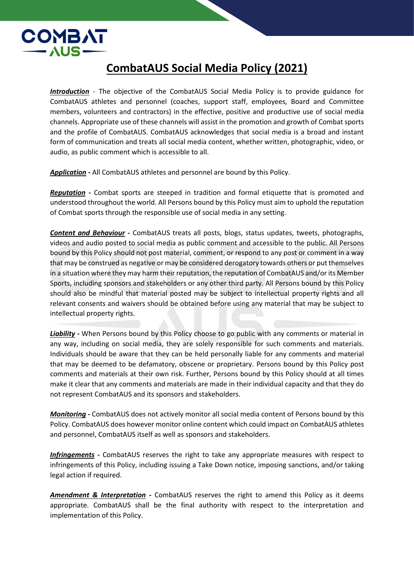

## **CombatAUS Social Media Policy (2021)**

*Introduction* - The objective of the CombatAUS Social Media Policy is to provide guidance for CombatAUS athletes and personnel (coaches, support staff, employees, Board and Committee members, volunteers and contractors) in the effective, positive and productive use of social media channels. Appropriate use of these channels will assist in the promotion and growth of Combat sports and the profile of CombatAUS. CombatAUS acknowledges that social media is a broad and instant form of communication and treats all social media content, whether written, photographic, video, or audio, as public comment which is accessible to all.

*Application* **-** All CombatAUS athletes and personnel are bound by this Policy.

*Reputation* **-** Combat sports are steeped in tradition and formal etiquette that is promoted and understood throughout the world. All Persons bound by this Policy must aim to uphold the reputation of Combat sports through the responsible use of social media in any setting.

*Content and Behaviour* **-** CombatAUS treats all posts, blogs, status updates, tweets, photographs, videos and audio posted to social media as public comment and accessible to the public. All Persons bound by this Policy should not post material, comment, or respond to any post or comment in a way that may be construed as negative or may be considered derogatory towards others or put themselves in a situation where they may harm their reputation, the reputation of CombatAUS and/or its Member Sports, including sponsors and stakeholders or any other third party. All Persons bound by this Policy should also be mindful that material posted may be subject to intellectual property rights and all relevant consents and waivers should be obtained before using any material that may be subject to intellectual property rights.

*Liability* **-** When Persons bound by this Policy choose to go public with any comments or material in any way, including on social media, they are solely responsible for such comments and materials. Individuals should be aware that they can be held personally liable for any comments and material that may be deemed to be defamatory, obscene or proprietary. Persons bound by this Policy post comments and materials at their own risk. Further, Persons bound by this Policy should at all times make it clear that any comments and materials are made in their individual capacity and that they do not represent CombatAUS and its sponsors and stakeholders.

*Monitoring* **-** CombatAUS does not actively monitor all social media content of Persons bound by this Policy. CombatAUS does however monitor online content which could impact on CombatAUS athletes and personnel, CombatAUS itself as well as sponsors and stakeholders.

*Infringements* **-** CombatAUS reserves the right to take any appropriate measures with respect to infringements of this Policy, including issuing a Take Down notice, imposing sanctions, and/or taking legal action if required.

*Amendment & Interpretation* **-** CombatAUS reserves the right to amend this Policy as it deems appropriate. CombatAUS shall be the final authority with respect to the interpretation and implementation of this Policy.